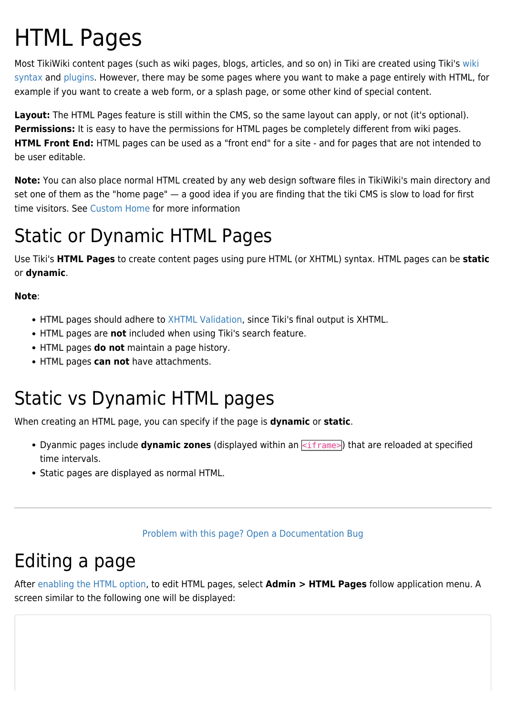# HTML Pages

Most TikiWiki content pages (such as wiki pages, blogs, articles, and so on) in Tiki are created using Tiki's [wiki](https://doc.tiki.org/Wiki-Syntax) [syntax](https://doc.tiki.org/Wiki-Syntax) and [plugins.](https://doc.tiki.org/Plugins) However, there may be some pages where you want to make a page entirely with HTML, for example if you want to create a web form, or a splash page, or some other kind of special content.

**Layout:** The HTML Pages feature is still within the CMS, so the same layout can apply, or not (it's optional). **Permissions:** It is easy to have the permissions for HTML pages be completely different from wiki pages. **HTML Front End:** HTML pages can be used as a "front end" for a site - and for pages that are not intended to be user editable.

**Note:** You can also place normal HTML created by any web design software files in TikiWiki's main directory and set one of them as the "home page" — a good idea if you are finding that the tiki CMS is slow to load for first time visitors. See [Custom Home](https://doc.tiki.org/Custom-Home) for more information

# Static or Dynamic HTML Pages

Use Tiki's **HTML Pages** to create content pages using pure HTML (or XHTML) syntax. HTML pages can be **static** or **dynamic**.

#### **Note**:

- HTML pages should adhere to [XHTML Validation,](http://validator.w3.org/) since Tiki's final output is XHTML.
- HTML pages are **not** included when using Tiki's search feature.
- HTML pages **do not** maintain a page history.
- HTML pages **can not** have attachments.

## Static vs Dynamic HTML pages

When creating an HTML page, you can specify if the page is **dynamic** or **static**.

- Dyanmic pages include **dynamic zones** (displayed within an  $\leq$ iframe>) that are reloaded at specified time intervals.
- Static pages are displayed as normal HTML.

#### [Problem with this page? Open a Documentation Bug](http://doc.tiki.org/tiki-view_tracker.php?trackerId=8)

### Editing a page

After [enabling the HTML option,](https://doc.tiki.org/Features-Admin) to edit HTML pages, select **Admin > HTML Pages** follow application menu. A screen similar to the following one will be displayed: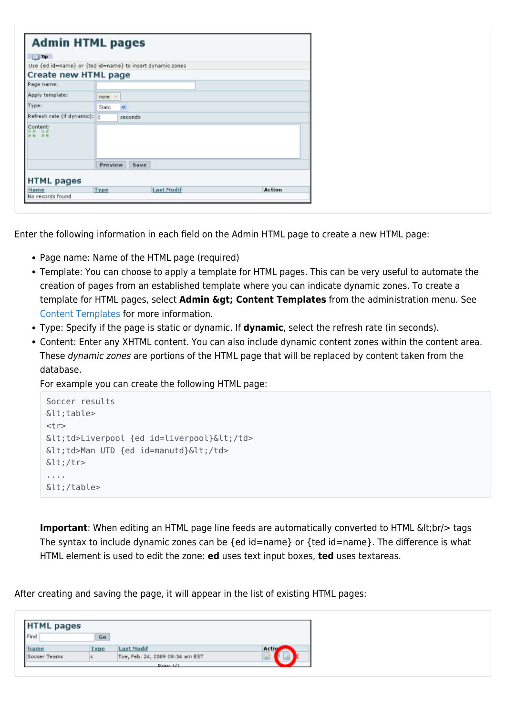| <b>Admin HTML pages</b>                                   |                        |                   |        |  |  |  |
|-----------------------------------------------------------|------------------------|-------------------|--------|--|--|--|
| $\Box$ Tip                                                |                        |                   |        |  |  |  |
| Use {ed id=name} or {ted id=name} to insert dynamic zones |                        |                   |        |  |  |  |
| Create new HTML page                                      |                        |                   |        |  |  |  |
| Page name:                                                |                        |                   |        |  |  |  |
| Apply template:                                           | none                   |                   |        |  |  |  |
| Type:                                                     | $\checkmark$<br>Static |                   |        |  |  |  |
| Refresh rate (if dynamic): 0                              | seconds                |                   |        |  |  |  |
| Content:<br>89.85                                         |                        |                   |        |  |  |  |
|                                                           | Preview Save           |                   |        |  |  |  |
| <b>HTML</b> pages                                         |                        |                   |        |  |  |  |
| Name                                                      | Type                   | <b>Last Modif</b> | Action |  |  |  |
| No records found                                          |                        |                   |        |  |  |  |

Enter the following information in each field on the Admin HTML page to create a new HTML page:

- Page name: Name of the HTML page (required)
- Template: You can choose to apply a template for HTML pages. This can be very useful to automate the creation of pages from an established template where you can indicate dynamic zones. To create a template for HTML pages, select **Admin > Content Templates** from the administration menu. See [Content Templates](https://doc.tiki.org/Content-Templates) for more information.
- Type: Specify if the page is static or dynamic. If **dynamic**, select the refresh rate (in seconds).
- Content: Enter any XHTML content. You can also include dynamic content zones within the content area. These dynamic zones are portions of the HTML page that will be replaced by content taken from the database.

For example you can create the following HTML page:

```
Soccer results
<table>
<tr>\< td>Liverpool {ed id=liverpool}\< td>
<td>Man UTD {ed id=manutd}&lt;/td>
<:/tr>
....
</table>
```
**Important**: When editing an HTML page line feeds are automatically converted to HTML &It;br/> tags The syntax to include dynamic zones can be {ed id=name} or {ted id=name}. The difference is what HTML element is used to edit the zone: **ed** uses text input boxes, **ted** uses textareas.

After creating and saving the page, it will appear in the list of existing HTML pages:

| <b>HTML pages</b> |      |                                 |       |
|-------------------|------|---------------------------------|-------|
| Find              | Go   |                                 |       |
| Name              | Type | <b>Last Modif</b>               | Actio |
| Soccer Teams      |      | Tue, Feb. 24, 2009 08:34 am EST |       |
|                   |      | Page: 1/1                       |       |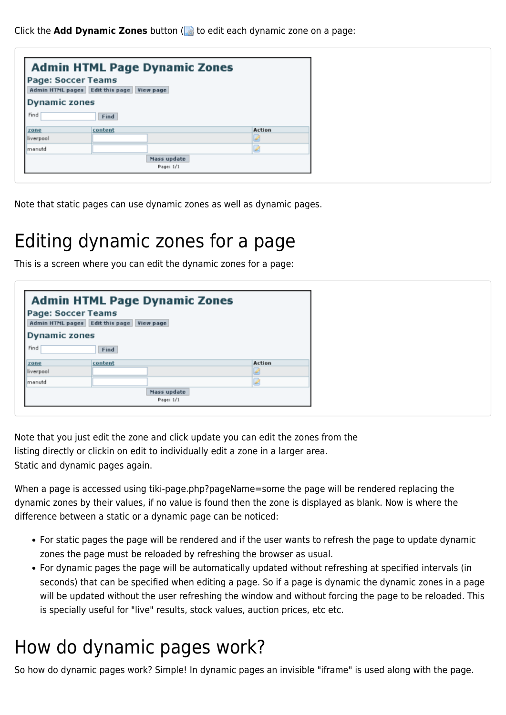Click the **Add Dynamic Zones** button (**the edit each dynamic zone on a page:** 

| <b>Admin HTML Page Dynamic Zones</b> |                                           |        |  |  |  |  |
|--------------------------------------|-------------------------------------------|--------|--|--|--|--|
| <b>Page: Soccer Teams</b>            | Admin HTML pages Edit this page View page |        |  |  |  |  |
| <b>Dynamic zones</b>                 |                                           |        |  |  |  |  |
| Find                                 | Find                                      |        |  |  |  |  |
| zone                                 | content                                   | Action |  |  |  |  |
| liverpool                            |                                           |        |  |  |  |  |
| Imanutd                              |                                           |        |  |  |  |  |
|                                      | Mass update                               |        |  |  |  |  |
|                                      | Page: 1/1                                 |        |  |  |  |  |

Note that static pages can use dynamic zones as well as dynamic pages.

### Editing dynamic zones for a page

This is a screen where you can edit the dynamic zones for a page:

| <b>Admin HTML Page Dynamic Zones</b>                            |                          |        |  |  |  |  |
|-----------------------------------------------------------------|--------------------------|--------|--|--|--|--|
| Page: Soccer Teams<br>Admin HTML pages Edit this page View page |                          |        |  |  |  |  |
| <b>Dynamic zones</b>                                            |                          |        |  |  |  |  |
| Find<br>Find                                                    |                          |        |  |  |  |  |
| content<br>zone                                                 |                          | Action |  |  |  |  |
| liverpool                                                       |                          |        |  |  |  |  |
| Imanutd                                                         |                          |        |  |  |  |  |
|                                                                 | Mass update<br>Page: 1/1 |        |  |  |  |  |

Note that you just edit the zone and click update you can edit the zones from the listing directly or clickin on edit to individually edit a zone in a larger area. Static and dynamic pages again.

When a page is accessed using tiki-page.php?pageName=some the page will be rendered replacing the dynamic zones by their values, if no value is found then the zone is displayed as blank. Now is where the difference between a static or a dynamic page can be noticed:

- For static pages the page will be rendered and if the user wants to refresh the page to update dynamic zones the page must be reloaded by refreshing the browser as usual.
- For dynamic pages the page will be automatically updated without refreshing at specified intervals (in seconds) that can be specified when editing a page. So if a page is dynamic the dynamic zones in a page will be updated without the user refreshing the window and without forcing the page to be reloaded. This is specially useful for "live" results, stock values, auction prices, etc etc.

### How do dynamic pages work?

So how do dynamic pages work? Simple! In dynamic pages an invisible "iframe" is used along with the page.